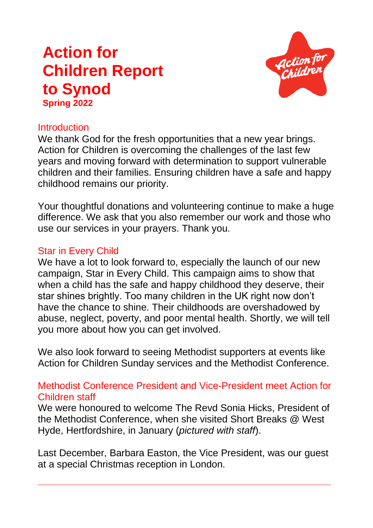# **Action for Children Report to Synod Spring 2022**



# **Introduction**

We thank God for the fresh opportunities that a new year brings. Action for Children is overcoming the challenges of the last few years and moving forward with determination to support vulnerable children and their families. Ensuring children have a safe and happy childhood remains our priority.

Your thoughtful donations and volunteering continue to make a huge difference. We ask that you also remember our work and those who use our services in your prayers. Thank you.

# Star in Every Child

We have a lot to look forward to, especially the launch of our new campaign, Star in Every Child. This campaign aims to show that when a child has the safe and happy childhood they deserve, their star shines brightly. Too many children in the UK right now don't have the chance to shine. Their childhoods are overshadowed by abuse, neglect, poverty, and poor mental health. Shortly, we will tell you more about how you can get involved.

We also look forward to seeing Methodist supporters at events like Action for Children Sunday services and the Methodist Conference.

# Methodist Conference President and Vice-President meet Action for Children staff

We were honoured to welcome The Revd Sonia Hicks, President of the Methodist Conference, when she visited Short Breaks @ West Hyde, Hertfordshire, in January (*pictured with staff*).

Last December, Barbara Easton, the Vice President, was our guest at a special Christmas reception in London.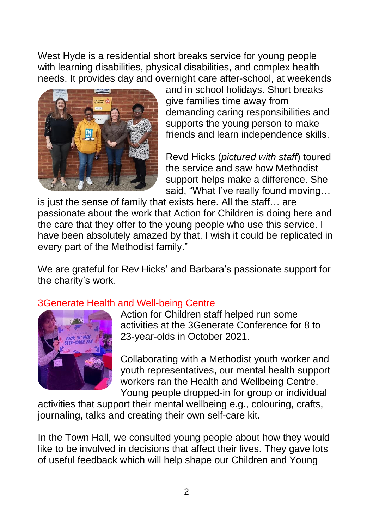West Hyde is a residential short breaks service for young people with learning disabilities, physical disabilities, and complex health needs. It provides day and overnight care after-school, at weekends



and in school holidays. Short breaks give families time away from demanding caring responsibilities and supports the young person to make friends and learn independence skills.

Revd Hicks (*pictured with staff*) toured the service and saw how Methodist support helps make a difference. She said, "What I've really found moving…

is just the sense of family that exists here. All the staff… are passionate about the work that Action for Children is doing here and the care that they offer to the young people who use this service. I have been absolutely amazed by that. I wish it could be replicated in every part of the Methodist family."

We are grateful for Rev Hicks' and Barbara's passionate support for the charity's work.

# 3Generate Health and Well-being Centre



Action for Children staff helped run some activities at the 3Generate Conference for 8 to 23-year-olds in October 2021.

Collaborating with a Methodist youth worker and youth representatives, our mental health support workers ran the Health and Wellbeing Centre. Young people dropped-in for group or individual

activities that support their mental wellbeing e.g., colouring, crafts, journaling, talks and creating their own self-care kit.

In the Town Hall, we consulted young people about how they would like to be involved in decisions that affect their lives. They gave lots of useful feedback which will help shape our Children and Young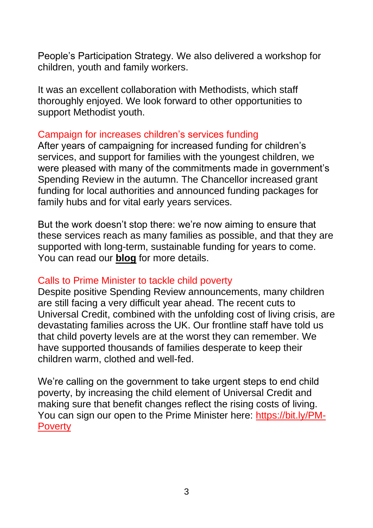People's Participation Strategy. We also delivered a workshop for children, youth and family workers.

It was an excellent collaboration with Methodists, which staff thoroughly enjoyed. We look forward to other opportunities to support Methodist youth.

#### Campaign for increases children's services funding

After years of campaigning for increased funding for children's services, and support for families with the youngest children, we were pleased with many of the commitments made in government's Spending Review in the autumn. The Chancellor increased grant funding for local authorities and announced funding packages for family hubs and for vital early years services.

But the work doesn't stop there: we're now aiming to ensure that these services reach as many families as possible, and that they are supported with long-term, sustainable funding for years to come. You can read our **[blog](https://bit.ly/budget21Blog)** for more details.

# Calls to Prime Minister to tackle child poverty

Despite positive Spending Review announcements, many children are still facing a very difficult year ahead. The recent cuts to Universal Credit, combined with the unfolding cost of living crisis, are devastating families across the UK. Our frontline staff have told us that child poverty levels are at the worst they can remember. We have supported thousands of families desperate to keep their children warm, clothed and well-fed.

We're calling on the government to take urgent steps to end child poverty, by increasing the child element of Universal Credit and making sure that benefit changes reflect the rising costs of living. You can sign our open to the Prime Minister here: [https://bit.ly/PM-](https://bit.ly/PM-Poverty)**[Poverty](https://bit.ly/PM-Poverty)**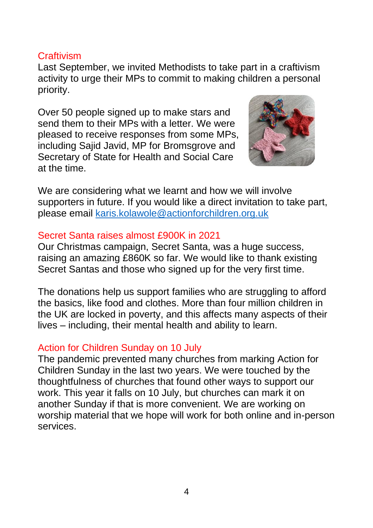# **Craftivism**

Last September, we invited Methodists to take part in a craftivism activity to urge their MPs to commit to making children a personal priority.

Over 50 people signed up to make stars and send them to their MPs with a letter. We were pleased to receive responses from some MPs, including Sajid Javid, MP for Bromsgrove and Secretary of State for Health and Social Care at the time.



We are considering what we learnt and how we will involve supporters in future. If you would like a direct invitation to take part, please email [karis.kolawole@actionforchildren.org.uk](mailto:karis.kolawole@actionforchildren.org.uk)

#### Secret Santa raises almost £900K in 2021

Our Christmas campaign, Secret Santa, was a huge success, raising an amazing £860K so far. We would like to thank existing Secret Santas and those who signed up for the very first time.

The donations help us support families who are struggling to afford the basics, like food and clothes. More than four million children in the UK are locked in poverty, and this affects many aspects of their lives – including, their mental health and ability to learn.

# Action for Children Sunday on 10 July

The pandemic prevented many churches from marking Action for Children Sunday in the last two years. We were touched by the thoughtfulness of churches that found other ways to support our work. This year it falls on 10 July, but churches can mark it on another Sunday if that is more convenient. We are working on worship material that we hope will work for both online and in-person services.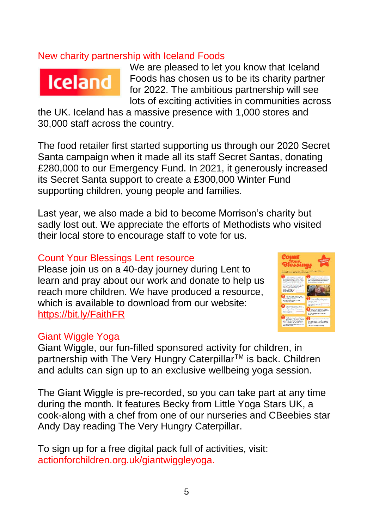## New charity partnership with Iceland Foods



We are pleased to let you know that Iceland Foods has chosen us to be its charity partner for 2022. The ambitious partnership will see lots of exciting activities in communities across

the UK. Iceland has a massive presence with 1,000 stores and 30,000 staff across the country.

The food retailer first started supporting us through our 2020 Secret Santa campaign when it made all its staff Secret Santas, donating £280,000 to our Emergency Fund. In 2021, it generously increased its Secret Santa support to create a £300,000 Winter Fund supporting children, young people and families.

Last year, we also made a bid to become Morrison's charity but sadly lost out. We appreciate the efforts of Methodists who visited their local store to encourage staff to vote for us.

#### Count Your Blessings Lent resource

Please join us on a 40-day journey during Lent to learn and pray about our work and donate to help us reach more children. We have produced a resource, which is available to download from our website: [https://bit.ly/FaithFR](https://eur03.safelinks.protection.outlook.com/?url=https%3A%2F%2Fbit.ly%2FFaithFR&data=04%7C01%7CKaris.Kolawole%40actionforchildren.org.uk%7C9cfeaa52db8e47b3759b08d9ea4e2664%7C472f2d2100a94fe28b1451e21d7e6f9f%7C0%7C0%7C637798443628846742%7CUnknown%7CTWFpbGZsb3d8eyJWIjoiMC4wLjAwMDAiLCJQIjoiV2luMzIiLCJBTiI6Ik1haWwiLCJXVCI6Mn0%3D%7C3000&sdata=EKWzi9ADTvPLiJjp8p0NBGwsuUIV2FfXd5jsIKZTOnw%3D&reserved=0)



#### **Giant Wiggle Yoga**

Giant Wiggle, our fun-filled sponsored activity for children, in partnership with The Very Hungry Caterpillar™ is back. Children and adults can sign up to an exclusive wellbeing yoga session.

The Giant Wiggle is pre-recorded, so you can take part at any time during the month. It features Becky from Little Yoga Stars UK, a cook-along with a chef from one of our nurseries and CBeebies star Andy Day reading The Very Hungry Caterpillar.

To sign up for a free digital pack full of activities, visit: actionforchildren.org.uk/giantwiggleyoga.